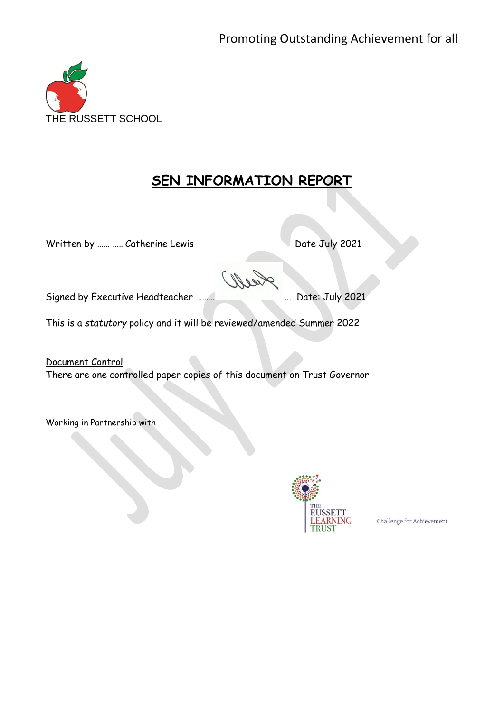

# **SEN INFORMATION REPORT**

Written by ...... ......Catherine Lewis Date July 2021

Signed by Executive Headteacher ……… …. Date: July 2021

This is a *statutory* policy and it will be reviewed/amended Summer 2022

Document Control There are one controlled paper copies of this document on Trust Governor

Working in Partnership with



Challenge for Achievement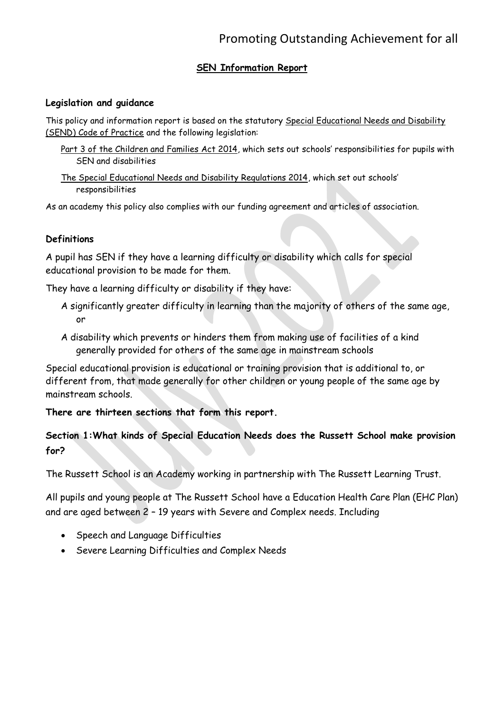## **SEN Information Report**

#### **Legislation and guidance**

This policy and information report is based on the statutory Special Educational Needs and Disability [\(SEND\) Code of Practice](https://www.gov.uk/government/uploads/system/uploads/attachment_data/file/398815/SEND_Code_of_Practice_January_2015.pdf) and the following legislation:

- [Part 3 of the Children and Families Act 2014](http://www.legislation.gov.uk/ukpga/2014/6/part/3), which sets out schools' responsibilities for pupils with SEN and disabilities
- [The Special Educational Needs and Disability Regulations 2014,](http://www.legislation.gov.uk/uksi/2014/1530/contents/made) which set out schools' responsibilities

As an academy this policy also complies with our funding agreement and articles of association.

#### **Definitions**

A pupil has SEN if they have a learning difficulty or disability which calls for special educational provision to be made for them.

They have a learning difficulty or disability if they have:

- A significantly greater difficulty in learning than the majority of others of the same age, or
- A disability which prevents or hinders them from making use of facilities of a kind generally provided for others of the same age in mainstream schools

Special educational provision is educational or training provision that is additional to, or different from, that made generally for other children or young people of the same age by mainstream schools.

**There are thirteen sections that form this report.**

## **Section 1:What kinds of Special Education Needs does the Russett School make provision for?**

The Russett School is an Academy working in partnership with The Russett Learning Trust.

All pupils and young people at The Russett School have a Education Health Care Plan (EHC Plan) and are aged between 2 – 19 years with Severe and Complex needs. Including

- Speech and Language Difficulties
- Severe Learning Difficulties and Complex Needs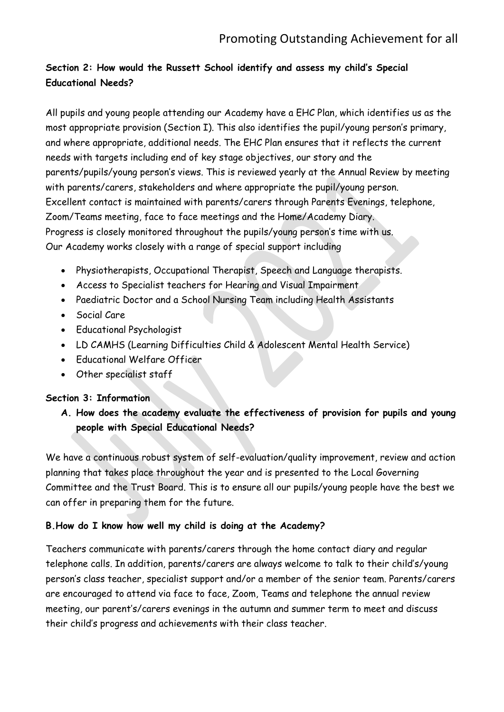# **Section 2: How would the Russett School identify and assess my child's Special Educational Needs?**

All pupils and young people attending our Academy have a EHC Plan, which identifies us as the most appropriate provision (Section I). This also identifies the pupil/young person's primary, and where appropriate, additional needs. The EHC Plan ensures that it reflects the current needs with targets including end of key stage objectives, our story and the parents/pupils/young person's views. This is reviewed yearly at the Annual Review by meeting with parents/carers, stakeholders and where appropriate the pupil/young person. Excellent contact is maintained with parents/carers through Parents Evenings, telephone, Zoom/Teams meeting, face to face meetings and the Home/Academy Diary. Progress is closely monitored throughout the pupils/young person's time with us. Our Academy works closely with a range of special support including

- Physiotherapists, Occupational Therapist, Speech and Language therapists.
- Access to Specialist teachers for Hearing and Visual Impairment
- Paediatric Doctor and a School Nursing Team including Health Assistants
- Social Care
- Educational Psychologist
- LD CAMHS (Learning Difficulties Child & Adolescent Mental Health Service)
- Educational Welfare Officer
- Other specialist staff

#### **Section 3: Information**

**A. How does the academy evaluate the effectiveness of provision for pupils and young people with Special Educational Needs?**

We have a continuous robust system of self-evaluation/quality improvement, review and action planning that takes place throughout the year and is presented to the Local Governing Committee and the Trust Board. This is to ensure all our pupils/young people have the best we can offer in preparing them for the future.

## **B.How do I know how well my child is doing at the Academy?**

Teachers communicate with parents/carers through the home contact diary and regular telephone calls. In addition, parents/carers are always welcome to talk to their child's/young person's class teacher, specialist support and/or a member of the senior team. Parents/carers are encouraged to attend via face to face, Zoom, Teams and telephone the annual review meeting, our parent's/carers evenings in the autumn and summer term to meet and discuss their child's progress and achievements with their class teacher.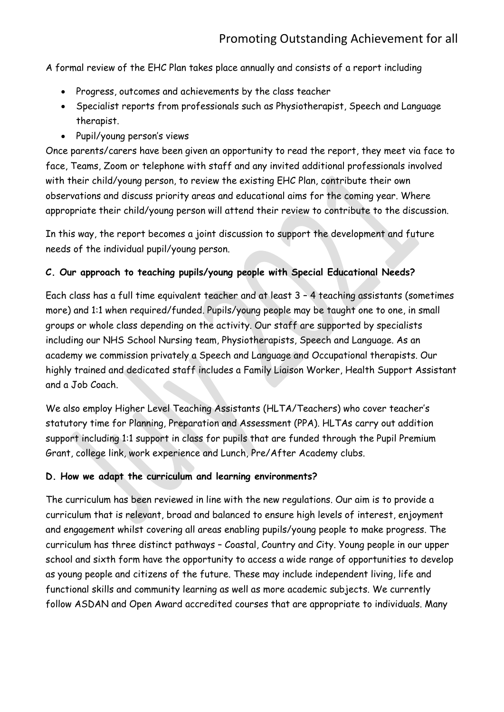A formal review of the EHC Plan takes place annually and consists of a report including

- Progress, outcomes and achievements by the class teacher
- Specialist reports from professionals such as Physiotherapist, Speech and Language therapist.
- Pupil/young person's views

Once parents/carers have been given an opportunity to read the report, they meet via face to face, Teams, Zoom or telephone with staff and any invited additional professionals involved with their child/young person, to review the existing EHC Plan, contribute their own observations and discuss priority areas and educational aims for the coming year. Where appropriate their child/young person will attend their review to contribute to the discussion.

In this way, the report becomes a joint discussion to support the development and future needs of the individual pupil/young person.

### **C. Our approach to teaching pupils/young people with Special Educational Needs?**

Each class has a full time equivalent teacher and at least 3 – 4 teaching assistants (sometimes more) and 1:1 when required/funded. Pupils/young people may be taught one to one, in small groups or whole class depending on the activity. Our staff are supported by specialists including our NHS School Nursing team, Physiotherapists, Speech and Language. As an academy we commission privately a Speech and Language and Occupational therapists. Our highly trained and dedicated staff includes a Family Liaison Worker, Health Support Assistant and a Job Coach.

We also employ Higher Level Teaching Assistants (HLTA/Teachers) who cover teacher's statutory time for Planning, Preparation and Assessment (PPA). HLTAs carry out addition support including 1:1 support in class for pupils that are funded through the Pupil Premium Grant, college link, work experience and Lunch, Pre/After Academy clubs.

#### **D. How we adapt the curriculum and learning environments?**

The curriculum has been reviewed in line with the new regulations. Our aim is to provide a curriculum that is relevant, broad and balanced to ensure high levels of interest, enjoyment and engagement whilst covering all areas enabling pupils/young people to make progress. The curriculum has three distinct pathways – Coastal, Country and City. Young people in our upper school and sixth form have the opportunity to access a wide range of opportunities to develop as young people and citizens of the future. These may include independent living, life and functional skills and community learning as well as more academic subjects. We currently follow ASDAN and Open Award accredited courses that are appropriate to individuals. Many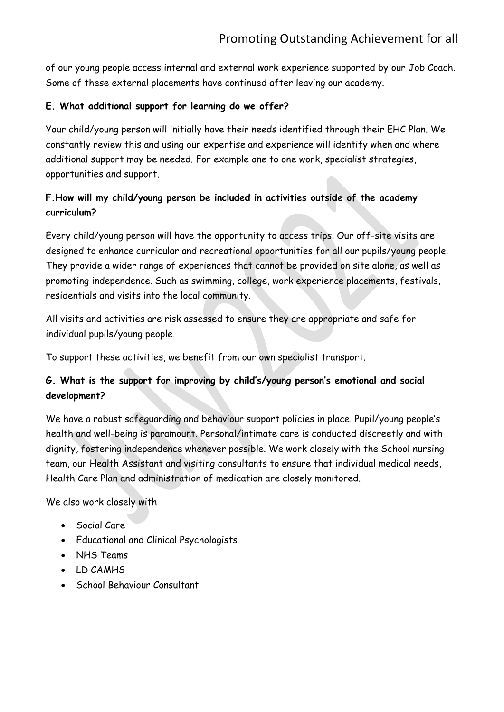of our young people access internal and external work experience supported by our Job Coach. Some of these external placements have continued after leaving our academy.

## **E. What additional support for learning do we offer?**

Your child/young person will initially have their needs identified through their EHC Plan. We constantly review this and using our expertise and experience will identify when and where additional support may be needed. For example one to one work, specialist strategies, opportunities and support.

## **F.How will my child/young person be included in activities outside of the academy curriculum?**

Every child/young person will have the opportunity to access trips. Our off-site visits are designed to enhance curricular and recreational opportunities for all our pupils/young people. They provide a wider range of experiences that cannot be provided on site alone, as well as promoting independence. Such as swimming, college, work experience placements, festivals, residentials and visits into the local community.

All visits and activities are risk assessed to ensure they are appropriate and safe for individual pupils/young people.

To support these activities, we benefit from our own specialist transport.

# **G. What is the support for improving by child's/young person's emotional and social development?**

We have a robust safeguarding and behaviour support policies in place. Pupil/young people's health and well-being is paramount. Personal/intimate care is conducted discreetly and with dignity, fostering independence whenever possible. We work closely with the School nursing team, our Health Assistant and visiting consultants to ensure that individual medical needs, Health Care Plan and administration of medication are closely monitored.

We also work closely with

- Social Care
- Educational and Clinical Psychologists
- NHS Teams
- LD CAMHS
- School Behaviour Consultant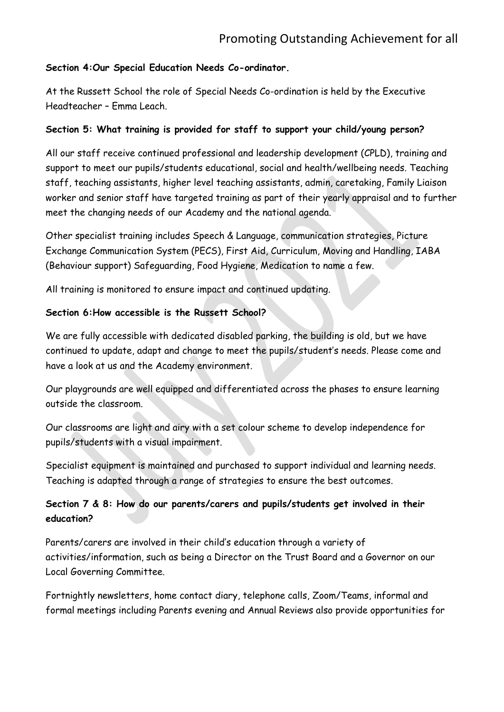#### **Section 4:Our Special Education Needs Co-ordinator.**

At the Russett School the role of Special Needs Co-ordination is held by the Executive Headteacher – Emma Leach.

#### **Section 5: What training is provided for staff to support your child/young person?**

All our staff receive continued professional and leadership development (CPLD), training and support to meet our pupils/students educational, social and health/wellbeing needs. Teaching staff, teaching assistants, higher level teaching assistants, admin, caretaking, Family Liaison worker and senior staff have targeted training as part of their yearly appraisal and to further meet the changing needs of our Academy and the national agenda.

Other specialist training includes Speech & Language, communication strategies, Picture Exchange Communication System (PECS), First Aid, Curriculum, Moving and Handling, IABA (Behaviour support) Safeguarding, Food Hygiene, Medication to name a few.

All training is monitored to ensure impact and continued updating.

#### **Section 6:How accessible is the Russett School?**

We are fully accessible with dedicated disabled parking, the building is old, but we have continued to update, adapt and change to meet the pupils/student's needs. Please come and have a look at us and the Academy environment.

Our playgrounds are well equipped and differentiated across the phases to ensure learning outside the classroom.

Our classrooms are light and airy with a set colour scheme to develop independence for pupils/students with a visual impairment.

Specialist equipment is maintained and purchased to support individual and learning needs. Teaching is adapted through a range of strategies to ensure the best outcomes.

## **Section 7 & 8: How do our parents/carers and pupils/students get involved in their education?**

Parents/carers are involved in their child's education through a variety of activities/information, such as being a Director on the Trust Board and a Governor on our Local Governing Committee.

Fortnightly newsletters, home contact diary, telephone calls, Zoom/Teams, informal and formal meetings including Parents evening and Annual Reviews also provide opportunities for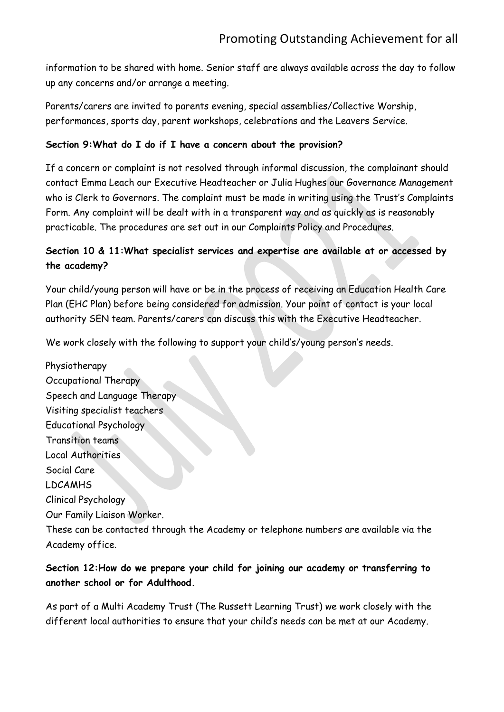information to be shared with home. Senior staff are always available across the day to follow up any concerns and/or arrange a meeting.

Parents/carers are invited to parents evening, special assemblies/Collective Worship, performances, sports day, parent workshops, celebrations and the Leavers Service.

#### **Section 9:What do I do if I have a concern about the provision?**

If a concern or complaint is not resolved through informal discussion, the complainant should contact Emma Leach our Executive Headteacher or Julia Hughes our Governance Management who is Clerk to Governors. The complaint must be made in writing using the Trust's Complaints Form. Any complaint will be dealt with in a transparent way and as quickly as is reasonably practicable. The procedures are set out in our Complaints Policy and Procedures.

## **Section 10 & 11:What specialist services and expertise are available at or accessed by the academy?**

Your child/young person will have or be in the process of receiving an Education Health Care Plan (EHC Plan) before being considered for admission. Your point of contact is your local authority SEN team. Parents/carers can discuss this with the Executive Headteacher.

We work closely with the following to support your child's/young person's needs.

Physiotherapy Occupational Therapy Speech and Language Therapy Visiting specialist teachers Educational Psychology Transition teams Local Authorities Social Care LDCAMHS Clinical Psychology Our Family Liaison Worker. These can be contacted through the Academy or telephone numbers are available via the Academy office.

## **Section 12:How do we prepare your child for joining our academy or transferring to another school or for Adulthood.**

As part of a Multi Academy Trust (The Russett Learning Trust) we work closely with the different local authorities to ensure that your child's needs can be met at our Academy.